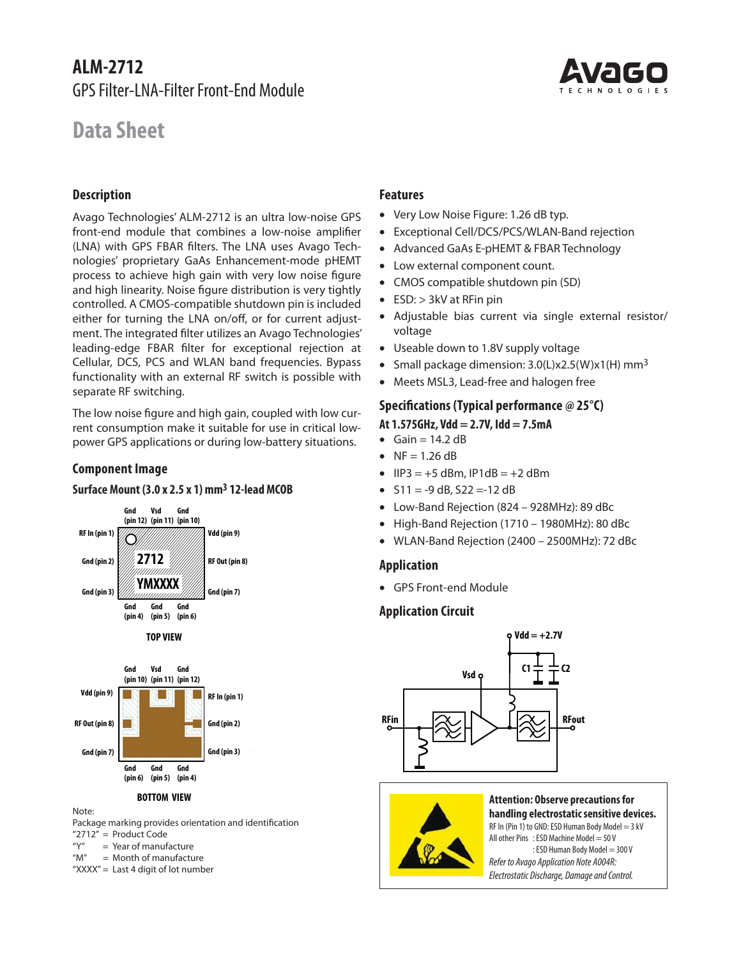# **ALM-2712** GPS Filter-LNA-Filter Front-End Module

# **Data Sheet**

# **Description**

Avago Technologies' ALM-2712 is an ultra low-noise GPS front-end module that combines a low-noise amplifier (LNA) with GPS FBAR filters. The LNA uses Avago Technologies' proprietary GaAs Enhancement-mode pHEMT process to achieve high gain with very low noise figure and high linearity. Noise figure distribution is very tightly controlled. A CMOS-compatible shutdown pin is included either for turning the LNA on/off, or for current adjustment. The integrated filter utilizes an Avago Technologies' leading-edge FBAR filter for exceptional rejection at Cellular, DCS, PCS and WLAN band frequencies. Bypass functionality with an external RF switch is possible with separate RF switching.

The low noise figure and high gain, coupled with low current consumption make it suitable for use in critical lowpower GPS applications or during low-battery situations.

# **Component Image**



### **Surface Mount (3.0 x 2.5 x 1) mm3 12-lead MCOB**

# **BOTTOM VIEW**

Package marking provides orientation and identification "2712" = Product Code

" $Y''$  = Year of manufacture

Note:

"M" = Month of manufacture

"XXXX" = Last 4 digit of lot number

### **Features**

- Very Low Noise Figure: 1.26 dB typ.
- Exceptional Cell/DCS/PCS/WLAN-Band rejection
- Advanced GaAs E-pHEMT & FBAR Technology
- Low external component count.
- CMOS compatible shutdown pin (SD)
- $\bullet$  ESD:  $>$  3kV at RFin pin
- Adjustable bias current via single external resistor/ voltage
- Useable down to 1.8V supply voltage
- Small package dimension:  $3.0(L)x2.5(W)x1(H)$  mm<sup>3</sup>
- Meets MSL3, Lead-free and halogen free

# **Specifi cations (Typical performance @ 25°C)**

# **At 1.575GHz, Vdd = 2.7V, Idd = 7.5mA**

- $Gain = 14.2 dB$
- $N = 1.26 \text{ dB}$
- $\bullet$  IIP3 = +5 dBm, IP1dB = +2 dBm
- $\bullet$  S11 = -9 dB, S22 =-12 dB
- Low-Band Rejection (824 928MHz): 89 dBc
- High-Band Rejection (1710 1980MHz): 80 dBc
- WLAN-Band Rejection (2400 2500MHz): 72 dBc

# **Application**

GPS Front-end Module

# **Application Circuit**





**Attention: Observe precautions for handling electrostatic sensitive devices.** RF In (Pin 1) to GND: ESD Human Body Model = 3 kV All other Pins : ESD Machine Model =  $50V$ : ESD Human Body Model = 300 V Refer to Avago Application Note A004R: Electrostatic Discharge, Damage and Control.

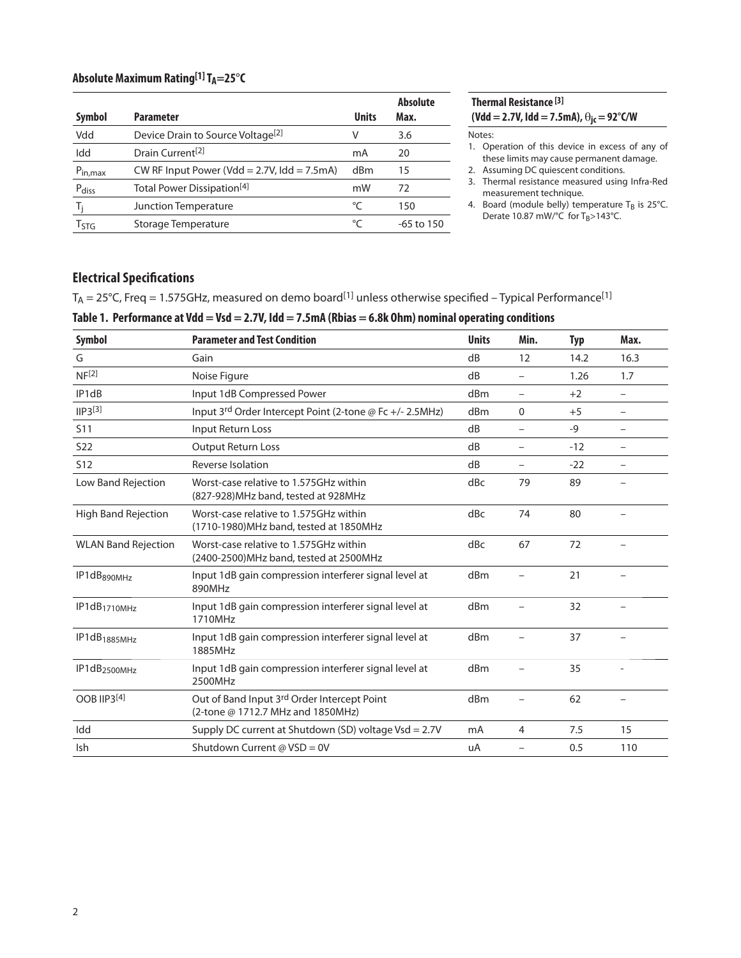### **Absolute Maximum Rating<sup>[1]</sup> T<sub>A</sub>=25°C**

| Symbol           | <b>Parameter</b>                                  | <b>Units</b> | <b>Absolute</b><br>Max. |
|------------------|---------------------------------------------------|--------------|-------------------------|
| Vdd              | Device Drain to Source Voltage <sup>[2]</sup>     | v            | 3.6                     |
| Idd              | Drain Current <sup>[2]</sup>                      | mA           | 20                      |
| $P_{in,max}$     | CW RF Input Power (Vdd = $2.7V$ , Idd = $7.5mA$ ) | dBm          | 15                      |
| Pdiss            | Total Power Dissipation <sup>[4]</sup>            | mW           | 72                      |
| T,               | Junction Temperature                              | °C           | 150                     |
| T <sub>STG</sub> | Storage Temperature                               | °C           | $-65$ to 150            |

# **Thermal Resistance [3]**  $(Vdd = 2.7V, Idd = 7.5mA), \Theta_{jc} = 92°C/W$

#### Notes:

- 1. Operation of this device in excess of any of these limits may cause permanent damage.
- 2. Assuming DC quiescent conditions.
- 3. Thermal resistance measured using Infra-Red measurement technique.
- 4. Board (module belly) temperature  $T_B$  is 25°C. Derate 10.87 mW/ $\degree$ C for T<sub>B</sub>>143 $\degree$ C.

# **Electrical Specifications**

 $T_A = 25^{\circ}$ C, Freq = 1.575GHz, measured on demo board<sup>[1]</sup> unless otherwise specified – Typical Performance<sup>[1]</sup>

### **Table 1. Performance at Vdd = Vsd = 2.7V, Idd = 7.5mA (Rbias = 6.8k Ohm) nominal operating conditions**

| <b>Symbol</b>              | <b>Parameter and Test Condition</b>                                                | <b>Units</b> | Min.                     | <b>Typ</b> | Max.                     |
|----------------------------|------------------------------------------------------------------------------------|--------------|--------------------------|------------|--------------------------|
| G                          | Gain                                                                               | dB           | 12                       | 14.2       | 16.3                     |
| NF <sup>[2]</sup>          | Noise Figure                                                                       | dB           | $\overline{\phantom{0}}$ | 1.26       | 1.7                      |
| IP1dB                      | Input 1dB Compressed Power                                                         | dBm          | $\overline{\phantom{m}}$ | $+2$       | $\overline{\phantom{0}}$ |
| IP3 <sup>[3]</sup>         | Input 3rd Order Intercept Point (2-tone @ Fc +/- 2.5MHz)                           | dBm          | 0                        | $+5$       | $\overline{\phantom{a}}$ |
| <b>S11</b>                 | <b>Input Return Loss</b>                                                           | dB           | $\equiv$                 | $-9$       | $\overline{\phantom{m}}$ |
| S <sub>22</sub>            | <b>Output Return Loss</b>                                                          | dB           | $\overline{\phantom{m}}$ | $-12$      | $\overline{\phantom{m}}$ |
| <b>S12</b>                 | Reverse Isolation                                                                  | dB           |                          | $-22$      |                          |
| Low Band Rejection         | Worst-case relative to 1.575GHz within<br>(827-928) MHz band, tested at 928 MHz    | dBc          | 79                       | 89         |                          |
| <b>High Band Rejection</b> | Worst-case relative to 1.575GHz within<br>(1710-1980) MHz band, tested at 1850 MHz | dBc          | 74                       | 80         |                          |
| <b>WLAN Band Rejection</b> | Worst-case relative to 1.575GHz within<br>(2400-2500) MHz band, tested at 2500 MHz | dBc          | 67                       | 72         |                          |
| IP1dB <sub>890MHz</sub>    | Input 1dB gain compression interferer signal level at<br>890MHz                    | dBm          |                          | 21         |                          |
| IP1dB <sub>1710MHz</sub>   | Input 1dB gain compression interferer signal level at<br>1710MHz                   | dBm          |                          | 32         |                          |
| IP1dB <sub>1885MHz</sub>   | Input 1dB gain compression interferer signal level at<br>1885MHz                   | dBm          |                          | 37         |                          |
| IP1dB <sub>2500MHz</sub>   | Input 1dB gain compression interferer signal level at<br>2500MHz                   | dBm          |                          | 35         |                          |
| OOB IIP3[4]                | Out of Band Input 3rd Order Intercept Point<br>(2-tone @ 1712.7 MHz and 1850MHz)   | dBm          |                          | 62         |                          |
| Idd                        | Supply DC current at Shutdown (SD) voltage $Vsd = 2.7V$                            | mA           | $\overline{4}$           | 7.5        | 15                       |
| Ish                        | Shutdown Current @ VSD = 0V                                                        | uA           |                          | 0.5        | 110                      |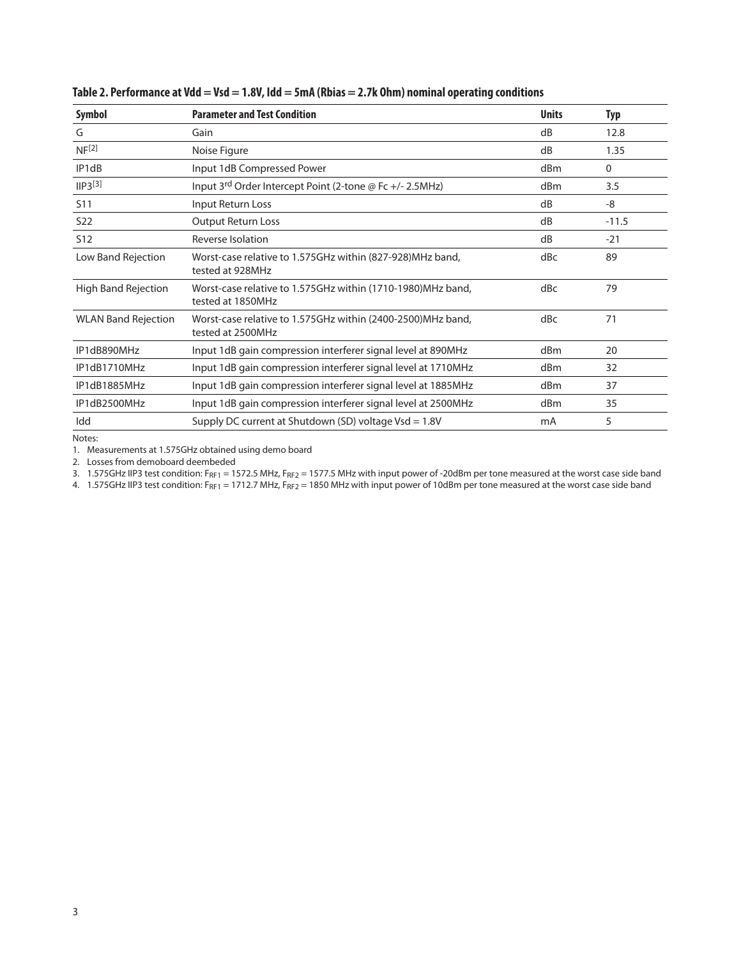| Symbol                     | <b>Parameter and Test Condition</b>                                              | <b>Units</b>    | <b>Typ</b>   |
|----------------------------|----------------------------------------------------------------------------------|-----------------|--------------|
| G                          | Gain                                                                             | dB              | 12.8         |
| NF <sup>[2]</sup>          | Noise Figure                                                                     | dB              | 1.35         |
| IP1dB                      | Input 1dB Compressed Power                                                       | d <sub>Bm</sub> | $\mathbf{0}$ |
| $IP3^{[3]}$                | Input 3rd Order Intercept Point (2-tone @ Fc +/- 2.5MHz)                         | d <sub>Bm</sub> | 3.5          |
| S <sub>11</sub>            | Input Return Loss                                                                | dB              | -8           |
| S <sub>22</sub>            | <b>Output Return Loss</b>                                                        | dB              | $-11.5$      |
| S <sub>12</sub>            | Reverse Isolation                                                                | dB              | $-21$        |
| Low Band Rejection         | Worst-case relative to 1.575GHz within (827-928) MHz band,<br>tested at 928MHz   | dBc             | 89           |
| High Band Rejection        | Worst-case relative to 1.575GHz within (1710-1980)MHz band,<br>tested at 1850MHz | dBc             | 79           |
| <b>WLAN Band Rejection</b> | Worst-case relative to 1.575GHz within (2400-2500)MHz band,<br>tested at 2500MHz | dBc             | 71           |
| IP1dB890MHz                | Input 1dB gain compression interferer signal level at 890MHz                     | dBm             | 20           |
| IP1dB1710MHz               | Input 1dB gain compression interferer signal level at 1710MHz                    | dBm             | 32           |
| IP1dB1885MHz               | Input 1dB gain compression interferer signal level at 1885MHz                    | dBm             | 37           |
| IP1dB2500MHz               | Input 1dB gain compression interferer signal level at 2500MHz                    | dBm             | 35           |
| Idd                        | Supply DC current at Shutdown (SD) voltage $Vsd = 1.8V$                          | mA              | 5            |

| Table 2. Performance at Vdd = Vsd = 1.8V, Idd = 5mA (Rbias = 2.7k Ohm) nominal operating conditions |  |  |  |
|-----------------------------------------------------------------------------------------------------|--|--|--|
|-----------------------------------------------------------------------------------------------------|--|--|--|

Notes:

1. Measurements at 1.575GHz obtained using demo board

2. Losses from demoboard deembeded

3. 1.575GHz IIP3 test condition: F<sub>RF1</sub> = 1572.5 MHz, F<sub>RF2</sub> = 1577.5 MHz with input power of -20dBm per tone measured at the worst case side band

4. 1.575GHz IIP3 test condition: F<sub>RF1</sub> = 1712.7 MHz, F<sub>RF2</sub> = 1850 MHz with input power of 10dBm per tone measured at the worst case side band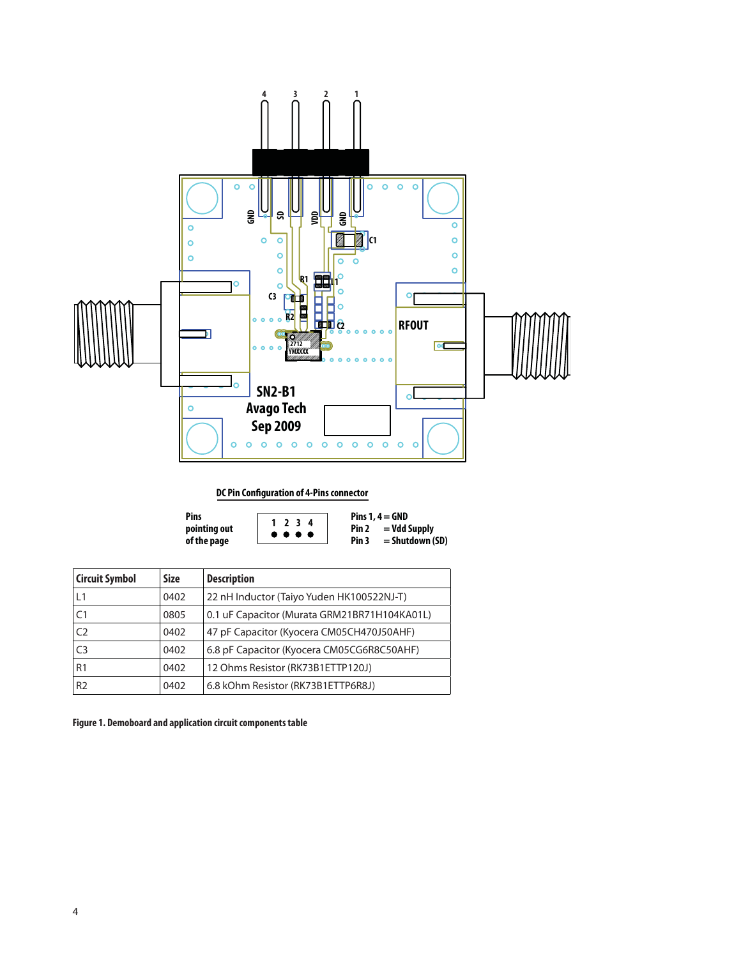

**DC Pin Configuration of 4-Pins connector**

| Pins         |  |
|--------------|--|
| pointing out |  |
| of the page  |  |

**1 234**

**Pins 1, 4 = GND**<br>**Pin 2 = Vdd Pin 2 = Vdd Supply Pin 3 = Shutdown (SD)**

| <b>Circuit Symbol</b> | <b>Size</b> | <b>Description</b>                           |
|-----------------------|-------------|----------------------------------------------|
| L1                    | 0402        | 22 nH Inductor (Taiyo Yuden HK100522NJ-T)    |
| C <sub>1</sub>        | 0805        | 0.1 uF Capacitor (Murata GRM21BR71H104KA01L) |
| C <sub>2</sub>        | 0402        | 47 pF Capacitor (Kyocera CM05CH470J50AHF)    |
| C <sub>3</sub>        | 0402        | 6.8 pF Capacitor (Kyocera CM05CG6R8C50AHF)   |
| R1                    | 0402        | 12 Ohms Resistor (RK73B1ETTP120J)            |
| R <sub>2</sub>        | 0402        | 6.8 kOhm Resistor (RK73B1ETTP6R8J)           |

**Figure 1. Demoboard and application circuit components table**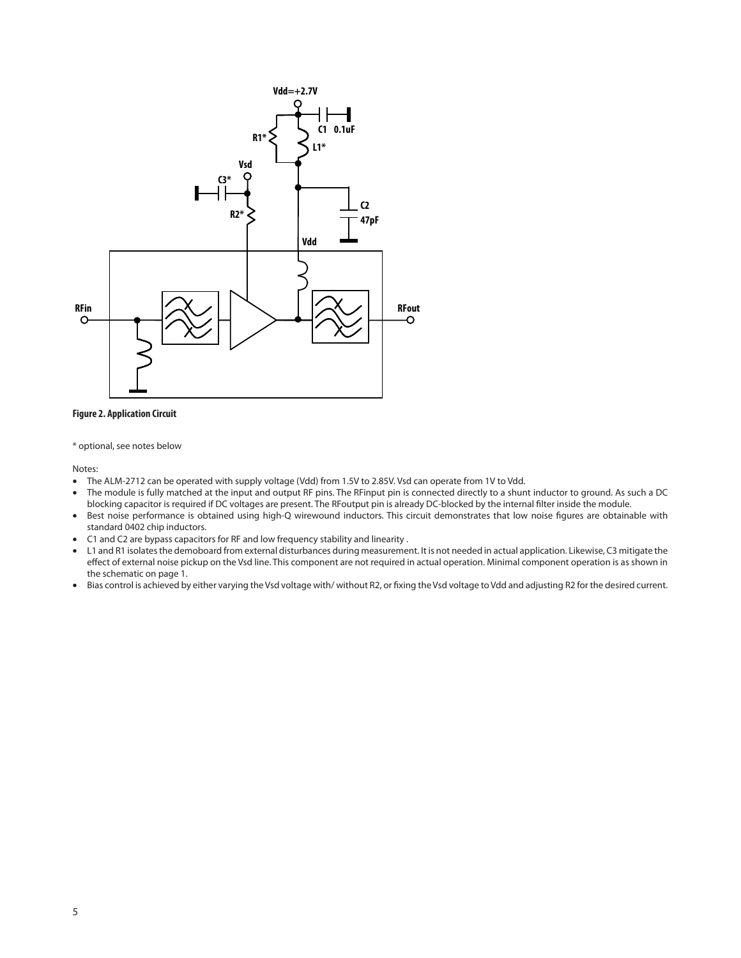

#### **Figure 2. Application Circuit**

\* optional, see notes below

Notes:

- The ALM-2712 can be operated with supply voltage (Vdd) from 1.5V to 2.85V. Vsd can operate from 1V to Vdd.
- The module is fully matched at the input and output RF pins. The RFinput pin is connected directly to a shunt inductor to ground. As such a DC blocking capacitor is required if DC voltages are present. The RFoutput pin is already DC-blocked by the internal filter inside the module.
- . Best noise performance is obtained using high-Q wirewound inductors. This circuit demonstrates that low noise figures are obtainable with standard 0402 chip inductors.
- C1 and C2 are bypass capacitors for RF and low frequency stability and linearity .
- L1 and R1 isolates the demoboard from external disturbances during measurement. It is not needed in actual application. Likewise, C3 mitigate the effect of external noise pickup on the Vsd line. This component are not required in actual operation. Minimal component operation is as shown in the schematic on page 1.
- Bias control is achieved by either varying the Vsd voltage with/ without R2, or fixing the Vsd voltage to Vdd and adjusting R2 for the desired current.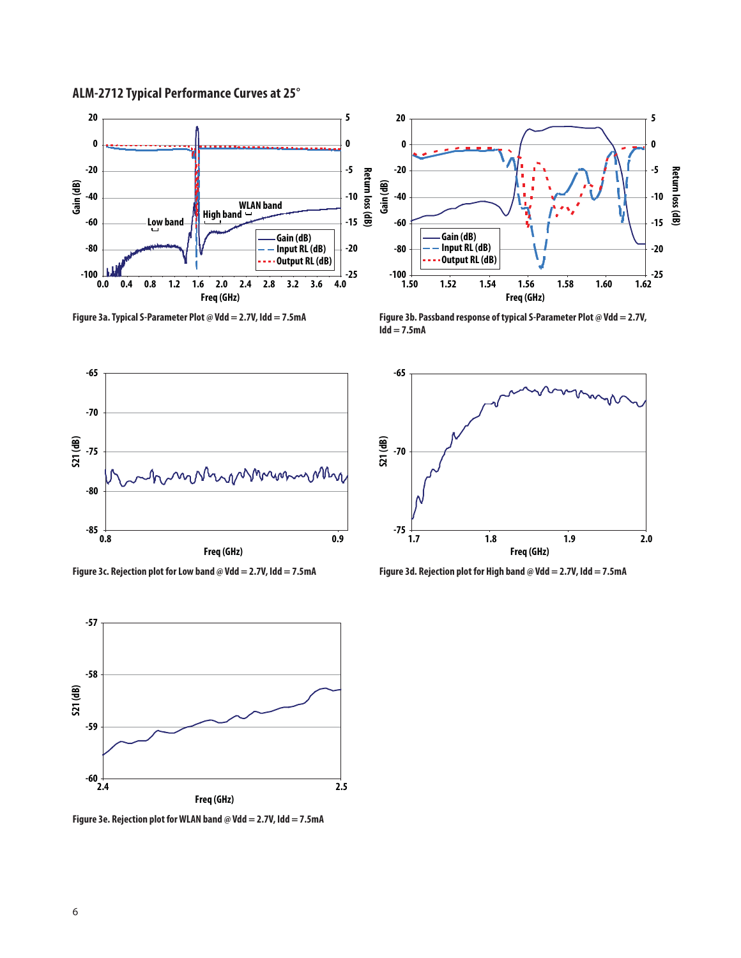



**Figure 3a. Typical S-Parameter Plot @ Vdd = 2.7V, Idd = 7.5mA**



**Figure 3c. Rejection plot for Low band @ Vdd = 2.7V, Idd = 7.5mA**



**Figure 3e. Rejection plot for WLAN band @ Vdd = 2.7V, Idd = 7.5mA**



**Figure 3b. Passband response of typical S-Parameter Plot @ Vdd = 2.7V, Idd = 7.5mA** 



**Figure 3d. Rejection plot for High band @ Vdd = 2.7V, Idd = 7.5mA**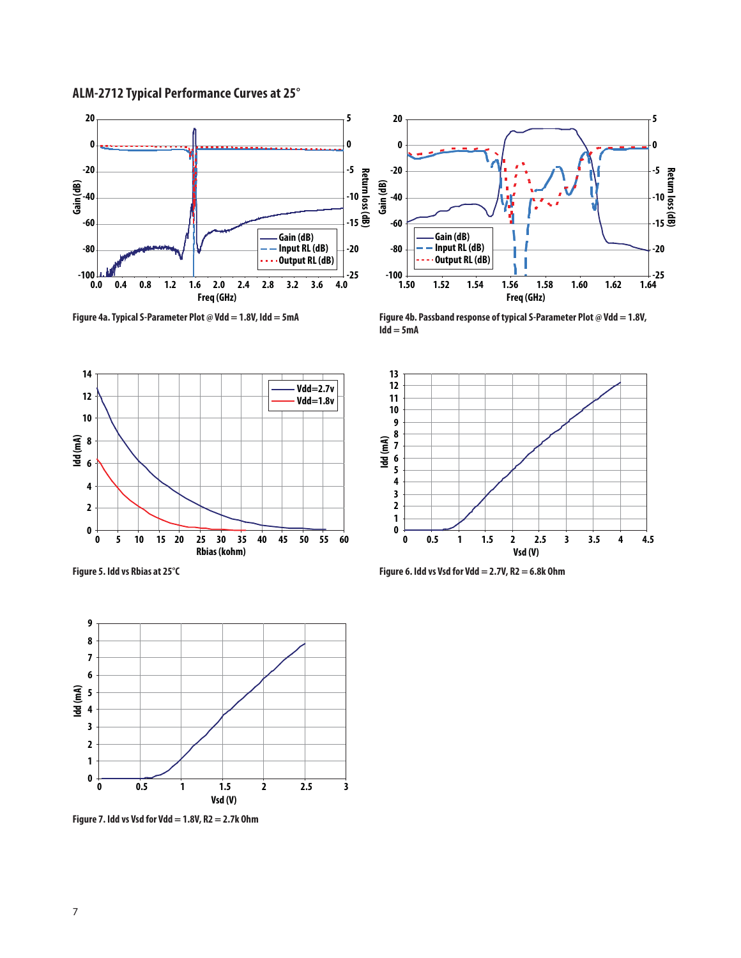# **ALM-2712 Typical Performance Curves at 25°**



**Figure 4a. Typical S-Parameter Plot @ Vdd = 1.8V, Idd = 5mA**



**Figure 4b. Passband response of typical S-Parameter Plot @ Vdd = 1.8V, Idd = 5mA** 





**Figure 7. Idd vs Vsd for Vdd = 1.8V, R2 = 2.7k Ohm**



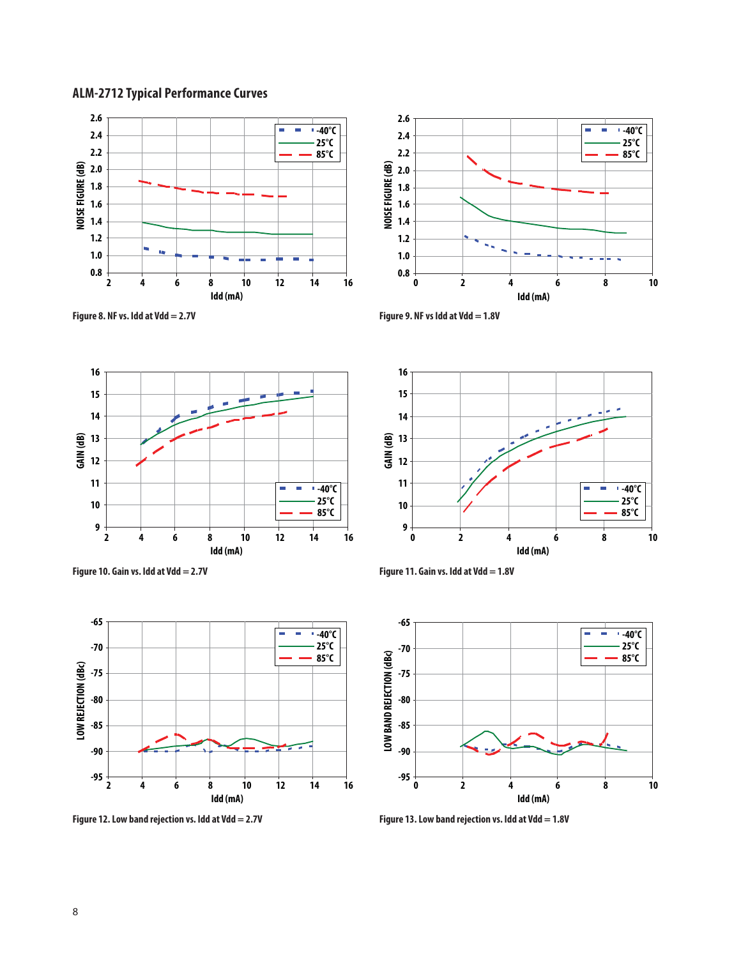# **ALM-2712 Typical Performance Curves**









**Figure 12. Low band rejection vs. Idd at Vdd = 2.7V**











**Figure 13. Low band rejection vs. Idd at Vdd = 1.8V**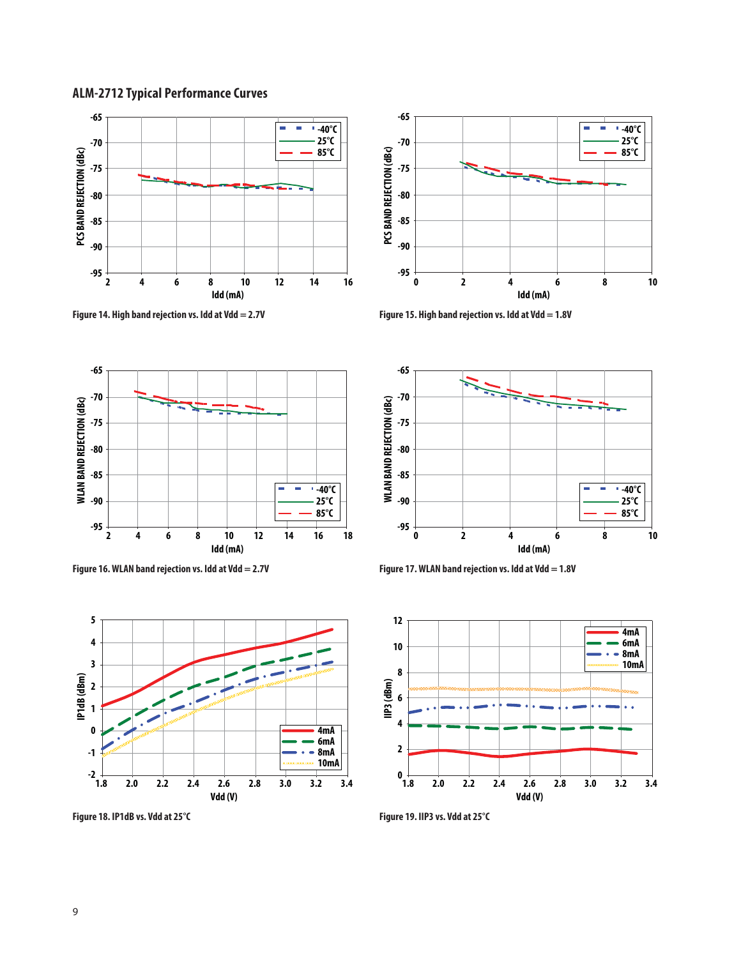# **ALM-2712 Typical Performance Curves**











**Figure 18. IP1dB vs. Vdd at 25°C**



**Figure 15. High band rejection vs. Idd at Vdd = 1.8V** 





**Figure 19. IIP3 vs. Vdd at 25°C**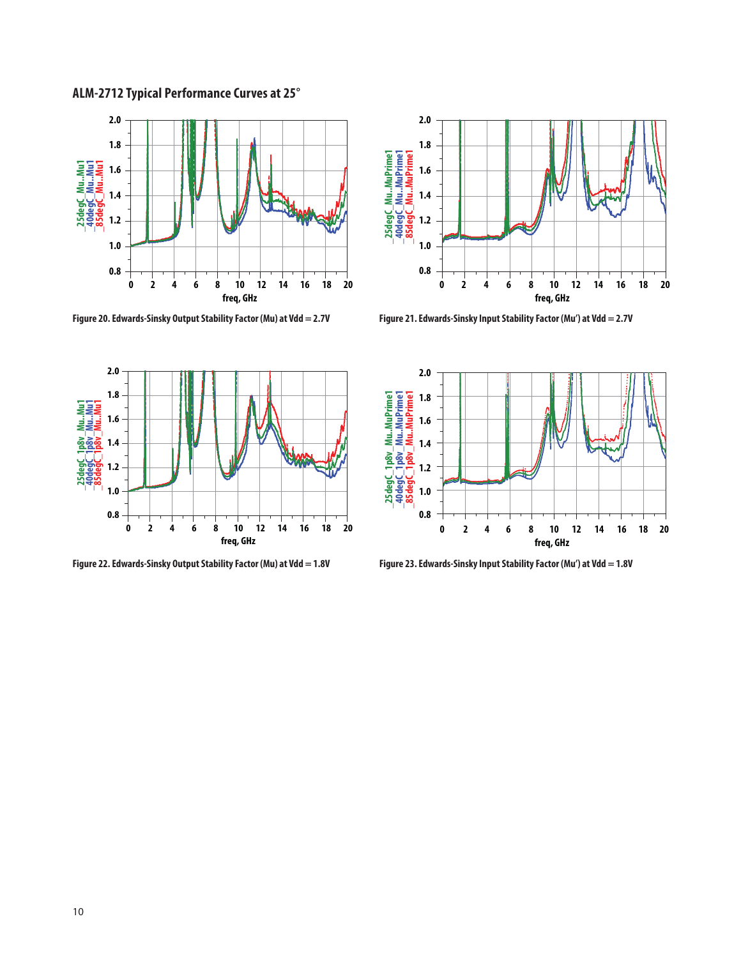**ALM-2712 Typical Performance Curves at 25°** 



**Figure 20. Edwards-Sinsky Output Stability Factor (Mu) at Vdd = 2.7V Figure 21. Edwards-Sinsky Input Stability Factor (Mu') at Vdd = 2.7V**



**Figure 22. Edwards-Sinsky Output Stability Factor (Mu) at Vdd = 1.8V**





**Figure 23. Edwards-Sinsky Input Stability Factor (Mu') at Vdd = 1.8V**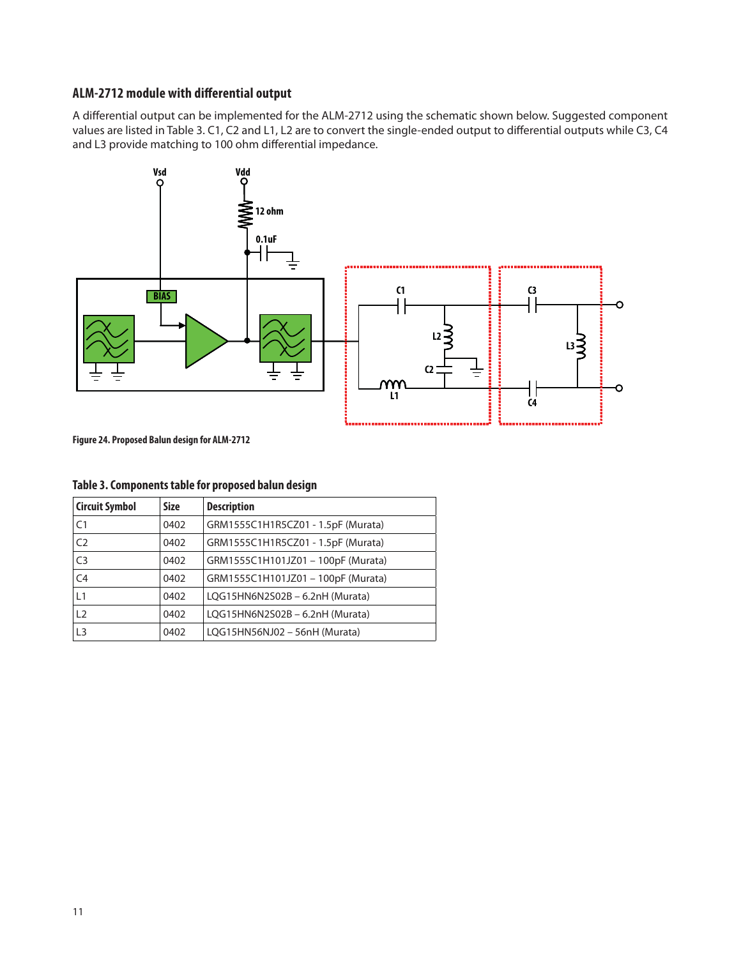# **ALM-2712 module with differential output**

A differential output can be implemented for the ALM-2712 using the schematic shown below. Suggested component values are listed in Table 3. C1, C2 and L1, L2 are to convert the single-ended output to differential outputs while C3, C4 and L3 provide matching to 100 ohm differential impedance.



**Figure 24. Proposed Balun design for ALM-2712**

| <b>Circuit Symbol</b> | <b>Size</b> | <b>Description</b>                 |
|-----------------------|-------------|------------------------------------|
| C <sub>1</sub>        | 0402        | GRM1555C1H1R5CZ01 - 1.5pF (Murata) |
| C <sub>2</sub>        | 0402        | GRM1555C1H1R5CZ01 - 1.5pF (Murata) |
| C <sub>3</sub>        | 0402        | GRM1555C1H101JZ01 - 100pF (Murata) |
| C <sub>4</sub>        | 0402        | GRM1555C1H101JZ01 - 100pF (Murata) |
| L1                    | 0402        | LQG15HN6N2S02B - 6.2nH (Murata)    |
| 12                    | 0402        | LQG15HN6N2S02B-6.2nH (Murata)      |
| L <sub>3</sub>        | 0402        | LQG15HN56NJ02 - 56nH (Murata)      |

#### **Table 3. Components table for proposed balun design**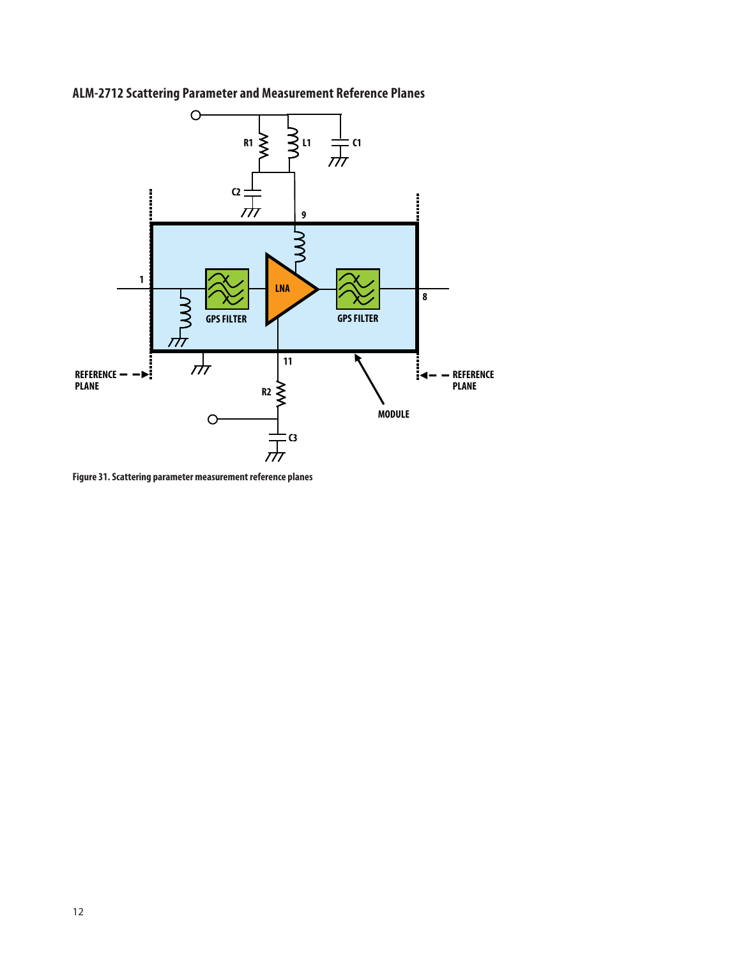

# **ALM-2712 Scattering Parameter and Measurement Reference Planes**

**Figure 31. Scattering parameter measurement reference planes**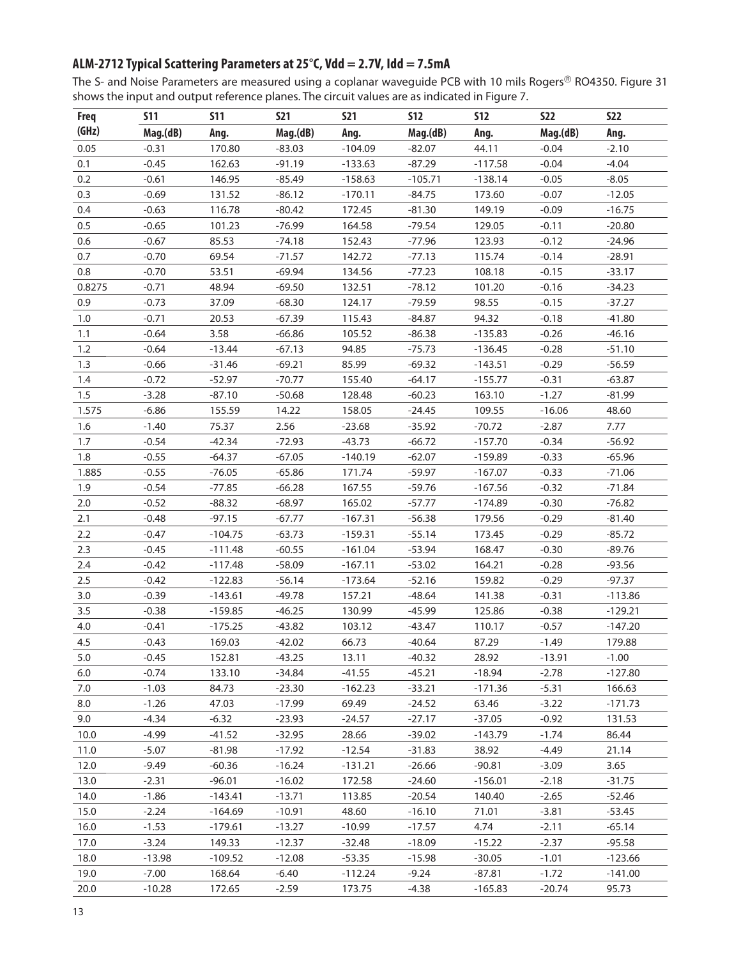# **ALM-2712 Typical Scattering Parameters at 25°C, Vdd = 2.7V, Idd = 7.5mA**

The S- and Noise Parameters are measured using a coplanar waveguide PCB with 10 mils Rogers® RO4350. Figure 31 shows the input and output reference planes. The circuit values are as indicated in Figure 7.

| <b>Freq</b> | <b>S11</b> | <b>S11</b> | <b>S21</b> | <b>S21</b> | <b>S12</b> | <b>S12</b> | <b>S22</b> | <b>S22</b> |
|-------------|------------|------------|------------|------------|------------|------------|------------|------------|
| (GHz)       | Mag.(dB)   | Ang.       | Mag.(dB)   | Ang.       | Mag.(dB)   | Ang.       | Mag.(dB)   | Ang.       |
| 0.05        | $-0.31$    | 170.80     | $-83.03$   | $-104.09$  | $-82.07$   | 44.11      | $-0.04$    | $-2.10$    |
| 0.1         | $-0.45$    | 162.63     | $-91.19$   | $-133.63$  | $-87.29$   | $-117.58$  | $-0.04$    | $-4.04$    |
| 0.2         | $-0.61$    | 146.95     | $-85.49$   | $-158.63$  | $-105.71$  | $-138.14$  | $-0.05$    | $-8.05$    |
| 0.3         | $-0.69$    | 131.52     | $-86.12$   | $-170.11$  | $-84.75$   | 173.60     | $-0.07$    | $-12.05$   |
| 0.4         | $-0.63$    | 116.78     | $-80.42$   | 172.45     | $-81.30$   | 149.19     | $-0.09$    | $-16.75$   |
| 0.5         | $-0.65$    | 101.23     | $-76.99$   | 164.58     | $-79.54$   | 129.05     | $-0.11$    | $-20.80$   |
| 0.6         | $-0.67$    | 85.53      | $-74.18$   | 152.43     | $-77.96$   | 123.93     | $-0.12$    | $-24.96$   |
| 0.7         | $-0.70$    | 69.54      | $-71.57$   | 142.72     | $-77.13$   | 115.74     | $-0.14$    | $-28.91$   |
| 0.8         | $-0.70$    | 53.51      | $-69.94$   | 134.56     | $-77.23$   | 108.18     | $-0.15$    | $-33.17$   |
| 0.8275      | $-0.71$    | 48.94      | $-69.50$   | 132.51     | $-78.12$   | 101.20     | $-0.16$    | $-34.23$   |
| 0.9         | $-0.73$    | 37.09      | $-68.30$   | 124.17     | $-79.59$   | 98.55      | $-0.15$    | $-37.27$   |
| 1.0         | $-0.71$    | 20.53      | $-67.39$   | 115.43     | $-84.87$   | 94.32      | $-0.18$    | $-41.80$   |
| 1.1         | $-0.64$    | 3.58       | $-66.86$   | 105.52     | $-86.38$   | $-135.83$  | $-0.26$    | $-46.16$   |
| 1.2         | $-0.64$    | $-13.44$   | $-67.13$   | 94.85      | $-75.73$   | $-136.45$  | $-0.28$    | $-51.10$   |
| 1.3         | $-0.66$    | $-31.46$   | $-69.21$   | 85.99      | $-69.32$   | $-143.51$  | $-0.29$    | $-56.59$   |
| 1.4         | $-0.72$    | $-52.97$   | $-70.77$   | 155.40     | $-64.17$   | $-155.77$  | $-0.31$    | $-63.87$   |
| 1.5         | $-3.28$    | $-87.10$   | $-50.68$   | 128.48     | $-60.23$   | 163.10     | $-1.27$    | $-81.99$   |
| 1.575       | $-6.86$    | 155.59     | 14.22      | 158.05     | $-24.45$   | 109.55     | $-16.06$   | 48.60      |
| 1.6         | $-1.40$    | 75.37      | 2.56       | $-23.68$   | $-35.92$   | $-70.72$   | $-2.87$    | 7.77       |
| 1.7         | $-0.54$    | $-42.34$   | $-72.93$   | $-43.73$   | $-66.72$   | $-157.70$  | $-0.34$    | $-56.92$   |
| 1.8         | $-0.55$    | $-64.37$   | $-67.05$   | $-140.19$  | $-62.07$   | $-159.89$  | $-0.33$    | $-65.96$   |
| 1.885       | $-0.55$    | $-76.05$   | $-65.86$   | 171.74     | $-59.97$   | $-167.07$  | $-0.33$    | $-71.06$   |
| 1.9         | $-0.54$    | $-77.85$   | $-66.28$   | 167.55     | $-59.76$   | $-167.56$  | $-0.32$    | $-71.84$   |
| 2.0         | $-0.52$    | $-88.32$   | $-68.97$   | 165.02     | $-57.77$   | $-174.89$  | $-0.30$    | $-76.82$   |
| 2.1         | $-0.48$    | $-97.15$   | $-67.77$   | $-167.31$  | $-56.38$   | 179.56     | $-0.29$    | $-81.40$   |
| 2.2         | $-0.47$    | $-104.75$  | $-63.73$   | $-159.31$  | $-55.14$   | 173.45     | $-0.29$    | $-85.72$   |
| 2.3         | $-0.45$    | $-111.48$  | $-60.55$   | $-161.04$  | $-53.94$   | 168.47     | $-0.30$    | $-89.76$   |
| 2.4         | $-0.42$    | $-117.48$  | $-58.09$   | $-167.11$  | $-53.02$   | 164.21     | $-0.28$    | $-93.56$   |
| 2.5         | $-0.42$    | $-122.83$  | $-56.14$   | $-173.64$  | $-52.16$   | 159.82     | $-0.29$    | $-97.37$   |
| 3.0         | $-0.39$    | $-143.61$  | $-49.78$   | 157.21     | $-48.64$   | 141.38     | $-0.31$    | $-113.86$  |
| 3.5         | $-0.38$    | $-159.85$  | $-46.25$   | 130.99     | $-45.99$   | 125.86     | $-0.38$    | $-129.21$  |
| 4.0         | $-0.41$    | $-175.25$  | $-43.82$   | 103.12     | $-43.47$   | 110.17     | $-0.57$    | $-147.20$  |
| 4.5         | $-0.43$    | 169.03     | $-42.02$   | 66.73      | $-40.64$   | 87.29      | $-1.49$    | 179.88     |
| 5.0         | $-0.45$    | 152.81     | $-43.25$   | 13.11      | $-40.32$   | 28.92      | $-13.91$   | $-1.00$    |
| 6.0         | $-0.74$    | 133.10     | $-34.84$   | $-41.55$   | $-45.21$   | $-18.94$   | $-2.78$    | $-127.80$  |
| 7.0         | $-1.03$    | 84.73      | $-23.30$   | $-162.23$  | $-33.21$   | $-171.36$  | $-5.31$    | 166.63     |
| 8.0         | $-1.26$    | 47.03      | $-17.99$   | 69.49      | $-24.52$   | 63.46      | $-3.22$    | $-171.73$  |
| 9.0         | $-4.34$    | $-6.32$    | $-23.93$   | $-24.57$   | $-27.17$   | $-37.05$   | $-0.92$    | 131.53     |
| 10.0        | $-4.99$    | $-41.52$   | $-32.95$   | 28.66      | $-39.02$   | $-143.79$  | $-1.74$    | 86.44      |
| 11.0        | $-5.07$    | $-81.98$   | $-17.92$   | $-12.54$   | $-31.83$   | 38.92      | $-4.49$    | 21.14      |
| 12.0        | $-9.49$    | $-60.36$   | $-16.24$   | $-131.21$  | $-26.66$   | $-90.81$   | $-3.09$    | 3.65       |
| 13.0        | $-2.31$    | $-96.01$   | $-16.02$   | 172.58     | $-24.60$   | $-156.01$  | $-2.18$    | $-31.75$   |
| 14.0        | $-1.86$    | $-143.41$  | $-13.71$   | 113.85     | $-20.54$   | 140.40     | $-2.65$    | $-52.46$   |
| 15.0        | $-2.24$    | $-164.69$  | $-10.91$   | 48.60      | $-16.10$   | 71.01      | $-3.81$    | $-53.45$   |
| 16.0        | $-1.53$    | $-179.61$  | $-13.27$   | $-10.99$   | $-17.57$   | 4.74       | $-2.11$    | $-65.14$   |
| 17.0        | $-3.24$    | 149.33     | $-12.37$   | $-32.48$   | $-18.09$   | $-15.22$   | $-2.37$    | $-95.58$   |
| 18.0        | $-13.98$   | $-109.52$  | $-12.08$   | $-53.35$   | $-15.98$   | $-30.05$   | $-1.01$    | $-123.66$  |
| 19.0        | $-7.00$    | 168.64     | $-6.40$    | $-112.24$  | $-9.24$    | $-87.81$   | $-1.72$    | $-141.00$  |
| 20.0        | $-10.28$   | 172.65     | $-2.59$    | 173.75     | $-4.38$    | $-165.83$  | $-20.74$   | 95.73      |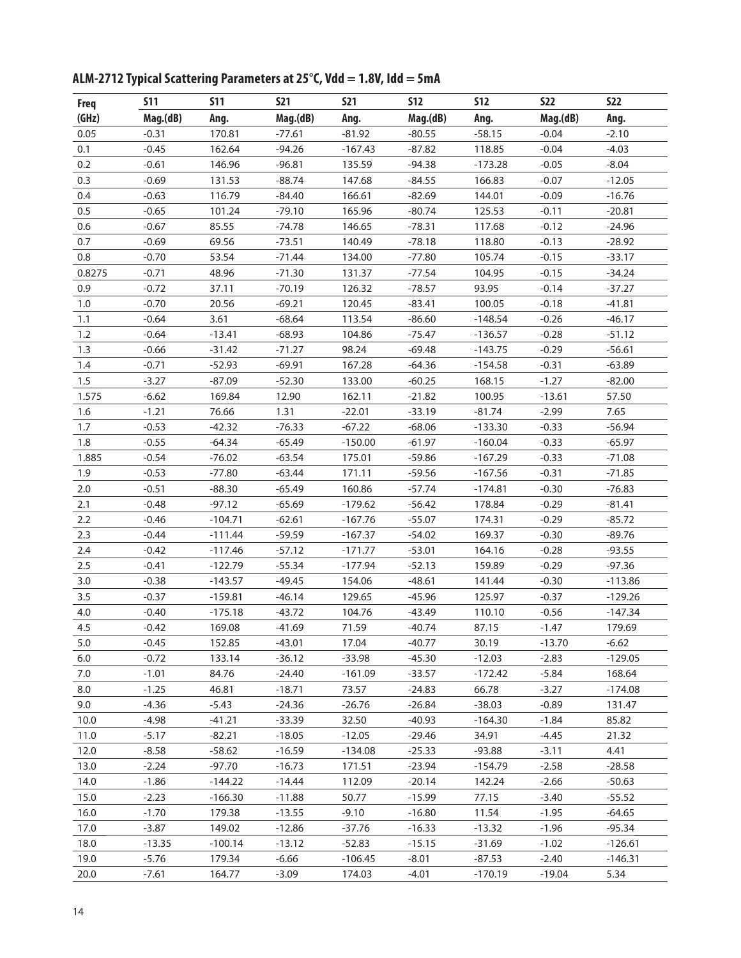| <b>Freq</b> | <b>S11</b> | <b>S11</b> | <b>S21</b> | <b>S21</b> | <b>S12</b> | <b>S12</b> | <b>S22</b> | <b>S22</b> |
|-------------|------------|------------|------------|------------|------------|------------|------------|------------|
| (GHz)       | Mag.(dB)   | Ang.       | Mag.(dB)   | Ang.       | Mag.(dB)   | Ang.       | Mag.(dB)   | Ang.       |
| 0.05        | $-0.31$    | 170.81     | $-77.61$   | $-81.92$   | $-80.55$   | $-58.15$   | $-0.04$    | $-2.10$    |
| 0.1         | $-0.45$    | 162.64     | $-94.26$   | $-167.43$  | $-87.82$   | 118.85     | $-0.04$    | $-4.03$    |
| 0.2         | $-0.61$    | 146.96     | $-96.81$   | 135.59     | $-94.38$   | $-173.28$  | $-0.05$    | $-8.04$    |
| 0.3         | $-0.69$    | 131.53     | $-88.74$   | 147.68     | $-84.55$   | 166.83     | $-0.07$    | $-12.05$   |
| 0.4         | $-0.63$    | 116.79     | $-84.40$   | 166.61     | $-82.69$   | 144.01     | $-0.09$    | $-16.76$   |
| 0.5         | $-0.65$    | 101.24     | $-79.10$   | 165.96     | $-80.74$   | 125.53     | $-0.11$    | $-20.81$   |
| 0.6         | $-0.67$    | 85.55      | $-74.78$   | 146.65     | $-78.31$   | 117.68     | $-0.12$    | $-24.96$   |
| 0.7         | $-0.69$    | 69.56      | $-73.51$   | 140.49     | $-78.18$   | 118.80     | $-0.13$    | $-28.92$   |
| 0.8         | $-0.70$    | 53.54      | $-71.44$   | 134.00     | $-77.80$   | 105.74     | $-0.15$    | $-33.17$   |
| 0.8275      | $-0.71$    | 48.96      | $-71.30$   | 131.37     | $-77.54$   | 104.95     | $-0.15$    | $-34.24$   |
| 0.9         | $-0.72$    | 37.11      | $-70.19$   | 126.32     | $-78.57$   | 93.95      | $-0.14$    | $-37.27$   |
| 1.0         | $-0.70$    | 20.56      | $-69.21$   | 120.45     | $-83.41$   | 100.05     | $-0.18$    | $-41.81$   |
| 1.1         | $-0.64$    | 3.61       | $-68.64$   | 113.54     | $-86.60$   | $-148.54$  | $-0.26$    | $-46.17$   |
| 1.2         | $-0.64$    | $-13.41$   | $-68.93$   | 104.86     | $-75.47$   | $-136.57$  | $-0.28$    | $-51.12$   |
| 1.3         | $-0.66$    | $-31.42$   | $-71.27$   | 98.24      | $-69.48$   | $-143.75$  | $-0.29$    | $-56.61$   |
| 1.4         | $-0.71$    | $-52.93$   | $-69.91$   | 167.28     | $-64.36$   | $-154.58$  | $-0.31$    | $-63.89$   |
| 1.5         | $-3.27$    | $-87.09$   | $-52.30$   | 133.00     | $-60.25$   | 168.15     | $-1.27$    | $-82.00$   |
| 1.575       | $-6.62$    | 169.84     | 12.90      | 162.11     | $-21.82$   | 100.95     | $-13.61$   | 57.50      |
| 1.6         | $-1.21$    | 76.66      | 1.31       | $-22.01$   | $-33.19$   | $-81.74$   | $-2.99$    | 7.65       |
| 1.7         | $-0.53$    | $-42.32$   | $-76.33$   | $-67.22$   | $-68.06$   | $-133.30$  | $-0.33$    | $-56.94$   |
| 1.8         | $-0.55$    | $-64.34$   | $-65.49$   | $-150.00$  | $-61.97$   | $-160.04$  | $-0.33$    | $-65.97$   |
| 1.885       | $-0.54$    | $-76.02$   | $-63.54$   | 175.01     | $-59.86$   | $-167.29$  | $-0.33$    | $-71.08$   |
| 1.9         | $-0.53$    | $-77.80$   | $-63.44$   | 171.11     | $-59.56$   | $-167.56$  | $-0.31$    | $-71.85$   |
| 2.0         | $-0.51$    | $-88.30$   | $-65.49$   | 160.86     | $-57.74$   | $-174.81$  | $-0.30$    | $-76.83$   |
| 2.1         | $-0.48$    | $-97.12$   | $-65.69$   | $-179.62$  | $-56.42$   | 178.84     | $-0.29$    | $-81.41$   |
| 2.2         | $-0.46$    | $-104.71$  | $-62.61$   | $-167.76$  | $-55.07$   | 174.31     | $-0.29$    | $-85.72$   |
| 2.3         | $-0.44$    | $-111.44$  | $-59.59$   | $-167.37$  | $-54.02$   | 169.37     | $-0.30$    | $-89.76$   |
| 2.4         | $-0.42$    | $-117.46$  | $-57.12$   | $-171.77$  | $-53.01$   | 164.16     | $-0.28$    | $-93.55$   |
| 2.5         | $-0.41$    | $-122.79$  | $-55.34$   | $-177.94$  | $-52.13$   | 159.89     | $-0.29$    | $-97.36$   |
| 3.0         | $-0.38$    | $-143.57$  | $-49.45$   | 154.06     | $-48.61$   | 141.44     | $-0.30$    | $-113.86$  |
| 3.5         | $-0.37$    | $-159.81$  | $-46.14$   | 129.65     | $-45.96$   | 125.97     | $-0.37$    | $-129.26$  |
| 4.0         | $-0.40$    | $-175.18$  | $-43.72$   | 104.76     | $-43.49$   | 110.10     | $-0.56$    | $-147.34$  |
| 4.5         | $-0.42$    | 169.08     | $-41.69$   | 71.59      | $-40.74$   | 87.15      | $-1.47$    | 179.69     |
| 5.0         | $-0.45$    | 152.85     | $-43.01$   | 17.04      | $-40.77$   | 30.19      | $-13.70$   | $-6.62$    |
| 6.0         | $-0.72$    | 133.14     | $-36.12$   | $-33.98$   | $-45.30$   | $-12.03$   | $-2.83$    | $-129.05$  |
| 7.0         | $-1.01$    | 84.76      | $-24.40$   | $-161.09$  | $-33.57$   | $-172.42$  | $-5.84$    | 168.64     |
| 8.0         | $-1.25$    | 46.81      | $-18.71$   | 73.57      | $-24.83$   | 66.78      | $-3.27$    | $-174.08$  |
| 9.0         | $-4.36$    | $-5.43$    | $-24.36$   | $-26.76$   | $-26.84$   | $-38.03$   | $-0.89$    | 131.47     |
| 10.0        | $-4.98$    | $-41.21$   | $-33.39$   | 32.50      | $-40.93$   | $-164.30$  | $-1.84$    | 85.82      |
| 11.0        | $-5.17$    | $-82.21$   | $-18.05$   | $-12.05$   | $-29.46$   | 34.91      | $-4.45$    | 21.32      |
| 12.0        | $-8.58$    | $-58.62$   | $-16.59$   | $-134.08$  | $-25.33$   | $-93.88$   | $-3.11$    | 4.41       |
| 13.0        | $-2.24$    | $-97.70$   | $-16.73$   | 171.51     | $-23.94$   | $-154.79$  | $-2.58$    | $-28.58$   |
| 14.0        | $-1.86$    | $-144.22$  | $-14.44$   | 112.09     | $-20.14$   | 142.24     | $-2.66$    | $-50.63$   |
| 15.0        | $-2.23$    | $-166.30$  | $-11.88$   | 50.77      | $-15.99$   | 77.15      | $-3.40$    | $-55.52$   |
| 16.0        | $-1.70$    | 179.38     | $-13.55$   | $-9.10$    | $-16.80$   | 11.54      | $-1.95$    | $-64.65$   |
| 17.0        | $-3.87$    | 149.02     | $-12.86$   | $-37.76$   | $-16.33$   | $-13.32$   | $-1.96$    | $-95.34$   |
| 18.0        | $-13.35$   | $-100.14$  | $-13.12$   | $-52.83$   | $-15.15$   | $-31.69$   | $-1.02$    | $-126.61$  |
| 19.0        | $-5.76$    | 179.34     | $-6.66$    | $-106.45$  | $-8.01$    | $-87.53$   | $-2.40$    | $-146.31$  |
| 20.0        | $-7.61$    | 164.77     | $-3.09$    | 174.03     | $-4.01$    | $-170.19$  | $-19.04$   | 5.34       |

**ALM-2712 Typical Scattering Parameters at 25°C, Vdd = 1.8V, Idd = 5mA**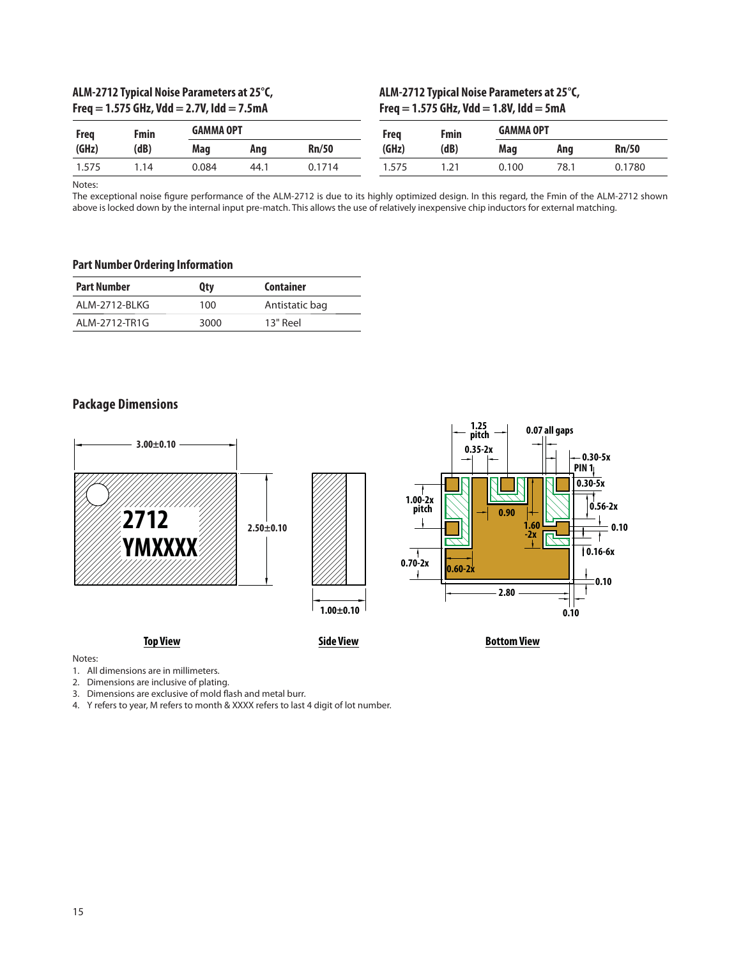# **ALM-2712 Typical Noise Parameters at 25°C, Freq = 1.575 GHz, Vdd = 2.7V, Idd = 7.5mA**

### **ALM-2712 Typical Noise Parameters at 25°C, Freq = 1.575 GHz, Vdd = 1.8V, Idd = 5mA**

| Freg  | Fmin |       | <b>GAMMA OPT</b> |              | Frea  | Fmin                      | <b>GAMMA OPT</b> |      |        |
|-------|------|-------|------------------|--------------|-------|---------------------------|------------------|------|--------|
| (GHz) | (dB) | Mag   | Ang              | <b>Rn/50</b> | (GHz) | (dB)                      | Mag              | Ang  | Rn/50  |
| 1.575 | 14   | 0.084 | 44.1             | 0.1714       | .575  | $\neg$ 1<br>$\mathcal{L}$ | 0.100            | 78.1 | 0.1780 |

Notes:

The exceptional noise figure performance of the ALM-2712 is due to its highly optimized design. In this regard, the Fmin of the ALM-2712 shown above is locked down by the internal input pre-match. This allows the use of relatively inexpensive chip inductors for external matching.

#### **Part Number Ordering Information**

| <b>Part Number</b> | Qty  | Container      |
|--------------------|------|----------------|
| ALM-2712-BLKG      | 100  | Antistatic bag |
| ALM-2712-TR1G      | 3000 | 13" Reel       |

# **Package Dimensions**



Notes:

1. All dimensions are in millimeters.

2. Dimensions are inclusive of plating.

3. Dimensions are exclusive of mold flash and metal burr.

4. Y refers to year, M refers to month & XXXX refers to last 4 digit of lot number.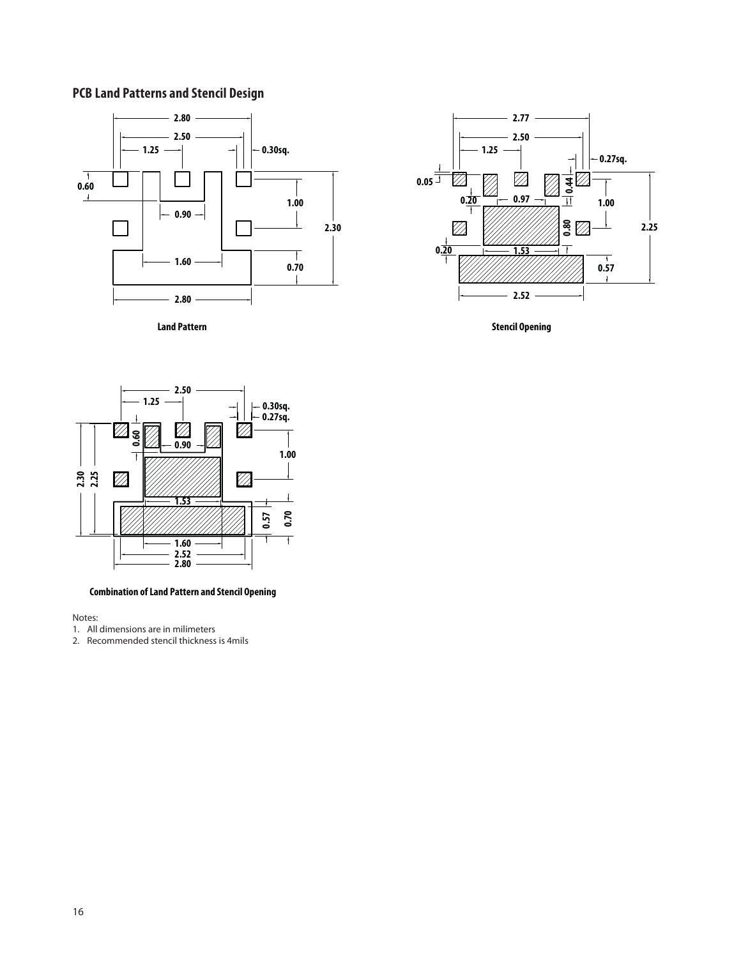# **PCB Land Patterns and Stencil Design**





**Land Pattern Stencil Opening** 



**Combination of Land Pattern and Stencil Opening**

Notes:

1. All dimensions are in milimeters

2. Recommended stencil thickness is 4mils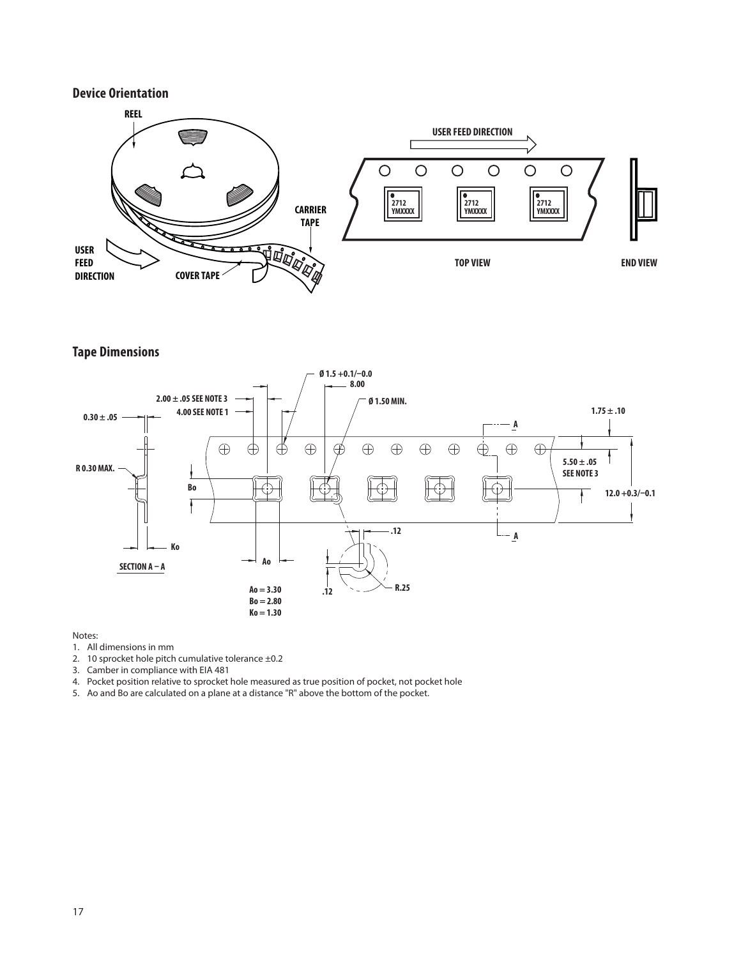# **Device Orientation**



**Tape Dimensions**



#### Notes:

- 1. All dimensions in mm
- 2. 10 sprocket hole pitch cumulative tolerance ±0.2
- 3. Camber in compliance with EIA 481
- 4. Pocket position relative to sprocket hole measured as true position of pocket, not pocket hole
- 5. Ao and Bo are calculated on a plane at a distance "R" above the bottom of the pocket.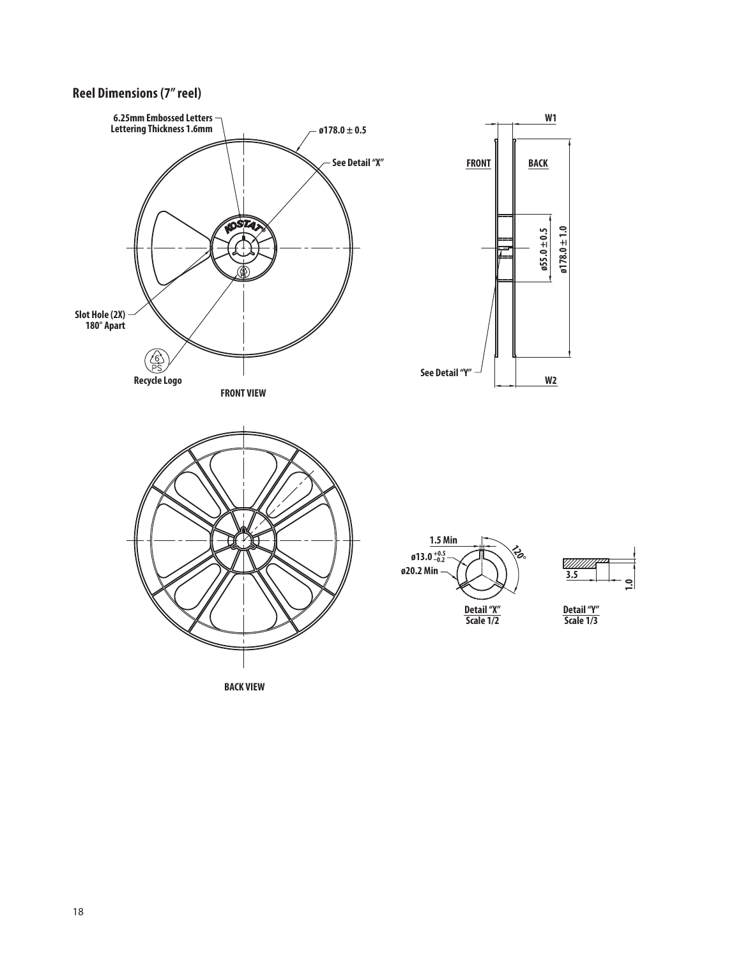# **Reel Dimensions (7" reel)**



 $\leq$ 

**BACK VIEW**